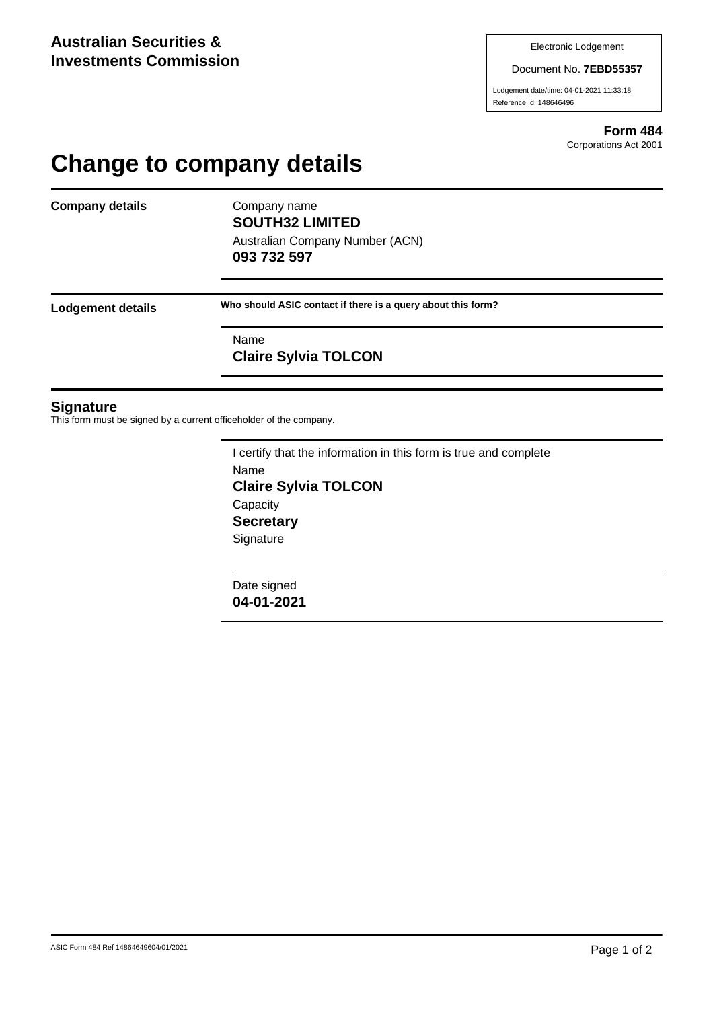#### Document No. **7EBD55357**

Lodgement date/time: 04-01-2021 11:33:18 Reference Id: 148646496

> **Form 484** Corporations Act 2001

# **Change to company details**

**Company details** Company name

**SOUTH32 LIMITED** Australian Company Number (ACN) **093 732 597**

**Lodgement details Who should ASIC contact if there is a query about this form?**

Name **Claire Sylvia TOLCON**

### **Signature**

This form must be signed by a current officeholder of the company.

I certify that the information in this form is true and complete Name **Claire Sylvia TOLCON Capacity Secretary Signature** 

Date signed **04-01-2021**